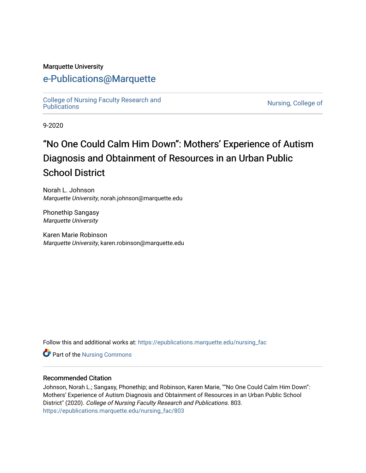#### Marquette University

# [e-Publications@Marquette](https://epublications.marquette.edu/)

[College of Nursing Faculty Research and](https://epublications.marquette.edu/nursing_fac)<br>Publications

Nursing, College of

9-2020

# "No One Could Calm Him Down": Mothers' Experience of Autism Diagnosis and Obtainment of Resources in an Urban Public School District

Norah L. Johnson Marquette University, norah.johnson@marquette.edu

Phonethip Sangasy Marquette University

Karen Marie Robinson Marquette University, karen.robinson@marquette.edu

Follow this and additional works at: [https://epublications.marquette.edu/nursing\\_fac](https://epublications.marquette.edu/nursing_fac?utm_source=epublications.marquette.edu%2Fnursing_fac%2F803&utm_medium=PDF&utm_campaign=PDFCoverPages)

Part of the [Nursing Commons](http://network.bepress.com/hgg/discipline/718?utm_source=epublications.marquette.edu%2Fnursing_fac%2F803&utm_medium=PDF&utm_campaign=PDFCoverPages) 

#### Recommended Citation

Johnson, Norah L.; Sangasy, Phonethip; and Robinson, Karen Marie, ""No One Could Calm Him Down": Mothers' Experience of Autism Diagnosis and Obtainment of Resources in an Urban Public School District" (2020). College of Nursing Faculty Research and Publications. 803. [https://epublications.marquette.edu/nursing\\_fac/803](https://epublications.marquette.edu/nursing_fac/803?utm_source=epublications.marquette.edu%2Fnursing_fac%2F803&utm_medium=PDF&utm_campaign=PDFCoverPages)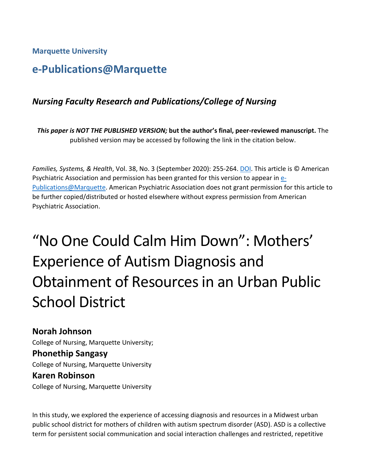**Marquette University**

# **e-Publications@Marquette**

# *Nursing Faculty Research and Publications/College of Nursing*

*This paper is NOT THE PUBLISHED VERSION;* **but the author's final, peer-reviewed manuscript.** The published version may be accessed by following the link in the citation below.

*Families, Systems, & Health*, Vol. 38, No. 3 (September 2020): 255-264[. DOI.](http://dx.doi.org/10.1037/fsh0000527) This article is © American Psychiatric Association and permission has been granted for this version to appear in [e-](http://epublications.marquette.edu/)[Publications@Marquette.](http://epublications.marquette.edu/) American Psychiatric Association does not grant permission for this article to be further copied/distributed or hosted elsewhere without express permission from American Psychiatric Association.

# "No One Could Calm Him Down": Mothers' Experience of Autism Diagnosis and Obtainment of Resources in an Urban Public School District

**Norah Johnson** College of Nursing, Marquette University; **Phonethip Sangasy** College of Nursing, Marquette University **Karen Robinson** College of Nursing, Marquette University

In this study, we explored the experience of accessing diagnosis and resources in a Midwest urban public school district for mothers of children with autism spectrum disorder (ASD). ASD is a collective term for persistent social communication and social interaction challenges and restricted, repetitive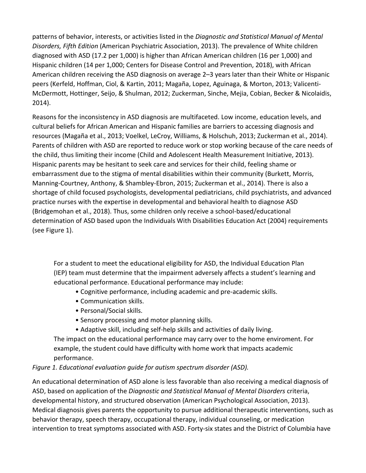patterns of behavior, interests, or activities listed in the *Diagnostic and Statistical Manual of Mental Disorders, Fifth Edition* (American Psychiatric Association, 2013). The prevalence of White children diagnosed with ASD (17.2 per 1,000) is higher than African American children (16 per 1,000) and Hispanic children (14 per 1,000; Centers for Disease Control and Prevention, 2018), with African American children receiving the ASD diagnosis on average 2–3 years later than their White or Hispanic peers (Kerfeld, Hoffman, Ciol, & Kartin, 2011; Magaña, Lopez, Aguinaga, & Morton, 2013; Valicenti-McDermott, Hottinger, Seijo, & Shulman, 2012; Zuckerman, Sinche, Mejia, Cobian, Becker & Nicolaidis, 2014).

Reasons for the inconsistency in ASD diagnosis are multifaceted. Low income, education levels, and cultural beliefs for African American and Hispanic families are barriers to accessing diagnosis and resources (Magaña et al., 2013; Voelkel, LeCroy, Williams, & Holschuh, 2013; Zuckerman et al., 2014). Parents of children with ASD are reported to reduce work or stop working because of the care needs of the child, thus limiting their income (Child and Adolescent Health Measurement Initiative, 2013). Hispanic parents may be hesitant to seek care and services for their child, feeling shame or embarrassment due to the stigma of mental disabilities within their community (Burkett, Morris, Manning-Courtney, Anthony, & Shambley-Ebron, 2015; Zuckerman et al., 2014). There is also a shortage of child focused psychologists, developmental pediatricians, child psychiatrists, and advanced practice nurses with the expertise in developmental and behavioral health to diagnose ASD (Bridgemohan et al., 2018). Thus, some children only receive a school-based/educational determination of ASD based upon the Individuals With Disabilities Education Act (2004) requirements (see Figure 1).

For a student to meet the educational eligibility for ASD, the Individual Education Plan (IEP) team must determine that the impairment adversely affects a student's learning and educational performance. Educational performance may include:

- Cognitive performance, including academic and pre-academic skills.
- Communication skills.
- Personal/Social skills.
- Sensory processing and motor planning skills.
- Adaptive skill, including self-help skills and activities of daily living.

The impact on the educational performance may carry over to the home enviroment. For example, the student could have difficulty with home work that impacts academic performance.

*Figure 1. Educational evaluation guide for autism spectrum disorder (ASD).*

An educational determination of ASD alone is less favorable than also receiving a medical diagnosis of ASD, based on application of the *Diagnostic and Statistical Manual of Mental Disorders* criteria, developmental history, and structured observation (American Psychological Association, 2013). Medical diagnosis gives parents the opportunity to pursue additional therapeutic interventions, such as behavior therapy, speech therapy, occupational therapy, individual counseling, or medication intervention to treat symptoms associated with ASD. Forty-six states and the District of Columbia have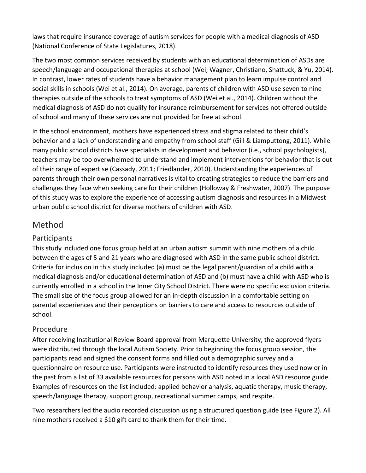laws that require insurance coverage of autism services for people with a medical diagnosis of ASD (National Conference of State Legislatures, 2018).

The two most common services received by students with an educational determination of ASDs are speech/language and occupational therapies at school (Wei, Wagner, Christiano, Shattuck, & Yu, 2014). In contrast, lower rates of students have a behavior management plan to learn impulse control and social skills in schools (Wei et al., 2014). On average, parents of children with ASD use seven to nine therapies outside of the schools to treat symptoms of ASD (Wei et al., 2014). Children without the medical diagnosis of ASD do not qualify for insurance reimbursement for services not offered outside of school and many of these services are not provided for free at school.

In the school environment, mothers have experienced stress and stigma related to their child's behavior and a lack of understanding and empathy from school staff (Gill & Liamputtong, 2011). While many public school districts have specialists in development and behavior (i.e., school psychologists), teachers may be too overwhelmed to understand and implement interventions for behavior that is out of their range of expertise (Cassady, 2011; Friedlander, 2010). Understanding the experiences of parents through their own personal narratives is vital to creating strategies to reduce the barriers and challenges they face when seeking care for their children (Holloway & Freshwater, 2007). The purpose of this study was to explore the experience of accessing autism diagnosis and resources in a Midwest urban public school district for diverse mothers of children with ASD.

# Method

# **Participants**

This study included one focus group held at an urban autism summit with nine mothers of a child between the ages of 5 and 21 years who are diagnosed with ASD in the same public school district. Criteria for inclusion in this study included (a) must be the legal parent/guardian of a child with a medical diagnosis and/or educational determination of ASD and (b) must have a child with ASD who is currently enrolled in a school in the Inner City School District. There were no specific exclusion criteria. The small size of the focus group allowed for an in-depth discussion in a comfortable setting on parental experiences and their perceptions on barriers to care and access to resources outside of school.

## Procedure

After receiving Institutional Review Board approval from Marquette University, the approved flyers were distributed through the local Autism Society. Prior to beginning the focus group session, the participants read and signed the consent forms and filled out a demographic survey and a questionnaire on resource use. Participants were instructed to identify resources they used now or in the past from a list of 33 available resources for persons with ASD noted in a local ASD resource guide. Examples of resources on the list included: applied behavior analysis, aquatic therapy, music therapy, speech/language therapy, support group, recreational summer camps, and respite.

Two researchers led the audio recorded discussion using a structured question guide (see Figure 2). All nine mothers received a \$10 gift card to thank them for their time.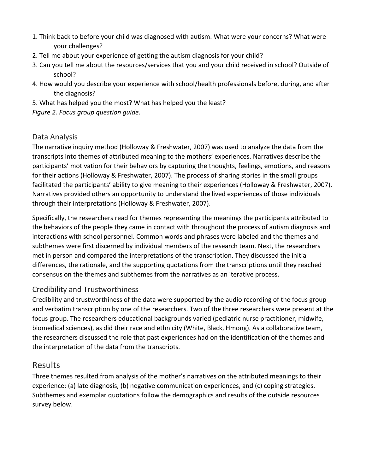- 1. Think back to before your child was diagnosed with autism. What were your concerns? What were your challenges?
- 2. Tell me about your experience of getting the autism diagnosis for your child?
- 3. Can you tell me about the resources/services that you and your child received in school? Outside of school?
- 4. How would you describe your experience with school/health professionals before, during, and after the diagnosis?
- 5. What has helped you the most? What has helped you the least?
- *Figure 2. Focus group question guide.*

### Data Analysis

The narrative inquiry method (Holloway & Freshwater, 2007) was used to analyze the data from the transcripts into themes of attributed meaning to the mothers' experiences. Narratives describe the participants' motivation for their behaviors by capturing the thoughts, feelings, emotions, and reasons for their actions (Holloway & Freshwater, 2007). The process of sharing stories in the small groups facilitated the participants' ability to give meaning to their experiences (Holloway & Freshwater, 2007). Narratives provided others an opportunity to understand the lived experiences of those individuals through their interpretations (Holloway & Freshwater, 2007).

Specifically, the researchers read for themes representing the meanings the participants attributed to the behaviors of the people they came in contact with throughout the process of autism diagnosis and interactions with school personnel. Common words and phrases were labeled and the themes and subthemes were first discerned by individual members of the research team. Next, the researchers met in person and compared the interpretations of the transcription. They discussed the initial differences, the rationale, and the supporting quotations from the transcriptions until they reached consensus on the themes and subthemes from the narratives as an iterative process.

## Credibility and Trustworthiness

Credibility and trustworthiness of the data were supported by the audio recording of the focus group and verbatim transcription by one of the researchers. Two of the three researchers were present at the focus group. The researchers educational backgrounds varied (pediatric nurse practitioner, midwife, biomedical sciences), as did their race and ethnicity (White, Black, Hmong). As a collaborative team, the researchers discussed the role that past experiences had on the identification of the themes and the interpretation of the data from the transcripts.

## Results

Three themes resulted from analysis of the mother's narratives on the attributed meanings to their experience: (a) late diagnosis, (b) negative communication experiences, and (c) coping strategies. Subthemes and exemplar quotations follow the demographics and results of the outside resources survey below.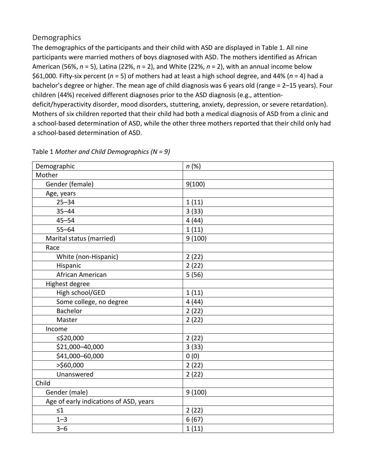## **Demographics**

The demographics of the participants and their child with ASD are displayed in Table 1. All nine participants were married mothers of boys diagnosed with ASD. The mothers identified as African American (56%, *n* = 5), Latina (22%, *n* = 2), and White (22%, *n* = 2), with an annual income below \$61,000. Fifty-six percent (*n* = 5) of mothers had at least a high school degree, and 44% (*n* = 4) had a bachelor's degree or higher. The mean age of child diagnosis was 6 years old (range = 2–15 years). Four children (44%) received different diagnoses prior to the ASD diagnosis (e.g., attentiondeficit/hyperactivity disorder, mood disorders, stuttering, anxiety, depression, or severe retardation). Mothers of six children reported that their child had both a medical diagnosis of ASD from a clinic and a school-based determination of ASD, while the other three mothers reported that their child only had a school-based determination of ASD.

| Demographic                            | n(%)   |
|----------------------------------------|--------|
| Mother                                 |        |
| Gender (female)                        | 9(100) |
| Age, years                             |        |
| $25 - 34$                              | 1(11)  |
| $35 - 44$                              | 3(33)  |
| $45 - 54$                              | 4(44)  |
| $55 - 64$                              | 1(11)  |
| Marital status (married)               | 9(100) |
| Race                                   |        |
| White (non-Hispanic)                   | 2(22)  |
| Hispanic                               | 2(22)  |
| African American                       | 5(56)  |
| Highest degree                         |        |
| High school/GED                        | 1(11)  |
| Some college, no degree                | 4(44)  |
| <b>Bachelor</b>                        | 2(22)  |
| Master                                 | 2(22)  |
| Income                                 |        |
| ≤\$20,000                              | 2(22)  |
| \$21,000-40,000                        | 3(33)  |
| \$41,000-60,000                        | 0(0)   |
| >\$60,000                              | 2(22)  |
| Unanswered                             | 2(22)  |
| Child                                  |        |
| Gender (male)                          | 9(100) |
| Age of early indications of ASD, years |        |
| $\leq 1$                               | 2(22)  |
| $1 - 3$                                | 6(67)  |
| $3 - 6$                                | 1(11)  |

Table 1 *Mother and Child Demographics (N = 9)*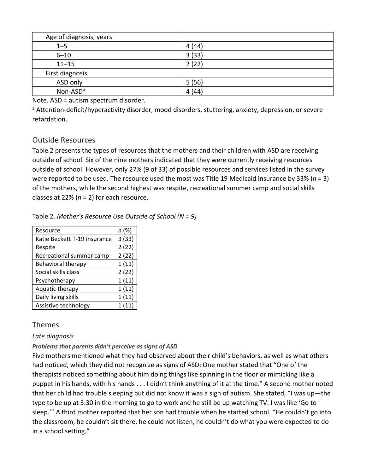| Age of diagnosis, years |        |
|-------------------------|--------|
| $1 - 5$                 | 4 (44) |
| $6 - 10$                | 3(33)  |
| $11 - 15$               | 2(22)  |
| First diagnosis         |        |
| ASD only                | 5(56)  |
| Non-ASD <sup>a</sup>    | 4(44)  |

Note. ASD = autism spectrum disorder.

a Attention-deficit/hyperactivity disorder, mood disorders, stuttering, anxiety, depression, or severe retardation.

### Outside Resources

Table 2 presents the types of resources that the mothers and their children with ASD are receiving outside of school. Six of the nine mothers indicated that they were currently receiving resources outside of school. However, only 27% (9 of 33) of possible resources and services listed in the survey were reported to be used. The resource used the most was Title 19 Medicaid insurance by 33% (*n* = 3) of the mothers, while the second highest was respite, recreational summer camp and social skills classes at 22% (*n* = 2) for each resource.

#### Table 2. *Mother's Resource Use Outside of School (N = 9)*

| Resource                     | n(%)  |
|------------------------------|-------|
| Katie Beckett T-19 insurance | 3(33) |
| Respite                      | 2(22) |
| Recreational summer camp     | 2(22) |
| Behavioral therapy           | 1(11) |
| Social skills class          | 2(22) |
| Psychotherapy                | 1(11) |
| Aquatic therapy              | 1(11) |
| Daily living skills          | 1(11) |
| Assistive technology         | 1(11) |

## Themes

#### *Late diagnosis*

#### *Problems that parents didn't perceive as signs of ASD*

Five mothers mentioned what they had observed about their child's behaviors, as well as what others had noticed, which they did not recognize as signs of ASD: One mother stated that "One of the therapists noticed something about him doing things like spinning in the floor or mimicking like a puppet in his hands, with his hands . . . I didn't think anything of it at the time." A second mother noted that her child had trouble sleeping but did not know it was a sign of autism. She stated, "I was up—the type to be up at 3:30 in the morning to go to work and he still be up watching TV. I was like 'Go to sleep.'" A third mother reported that her son had trouble when he started school. "He couldn't go into the classroom, he couldn't sit there, he could not listen, he couldn't do what you were expected to do in a school setting."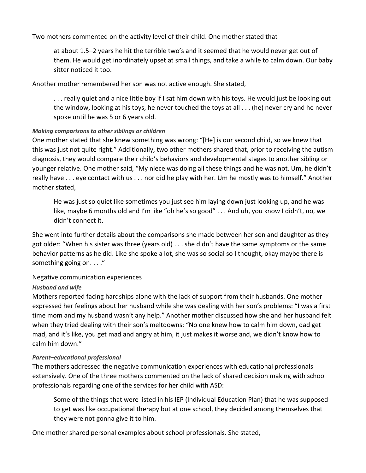Two mothers commented on the activity level of their child. One mother stated that

at about 1.5–2 years he hit the terrible two's and it seemed that he would never get out of them. He would get inordinately upset at small things, and take a while to calm down. Our baby sitter noticed it too.

Another mother remembered her son was not active enough. She stated,

. . . really quiet and a nice little boy if I sat him down with his toys. He would just be looking out the window, looking at his toys, he never touched the toys at all . . . (he) never cry and he never spoke until he was 5 or 6 years old.

#### *Making comparisons to other siblings or children*

One mother stated that she knew something was wrong: "[He] is our second child, so we knew that this was just not quite right." Additionally, two other mothers shared that, prior to receiving the autism diagnosis, they would compare their child's behaviors and developmental stages to another sibling or younger relative. One mother said, "My niece was doing all these things and he was not. Um, he didn't really have . . . eye contact with us . . . nor did he play with her. Um he mostly was to himself." Another mother stated,

He was just so quiet like sometimes you just see him laying down just looking up, and he was like, maybe 6 months old and I'm like "oh he's so good" . . . And uh, you know I didn't, no, we didn't connect it.

She went into further details about the comparisons she made between her son and daughter as they got older: "When his sister was three (years old) . . . she didn't have the same symptoms or the same behavior patterns as he did. Like she spoke a lot, she was so social so I thought, okay maybe there is something going on. . . ."

#### Negative communication experiences

#### *Husband and wife*

Mothers reported facing hardships alone with the lack of support from their husbands. One mother expressed her feelings about her husband while she was dealing with her son's problems: "I was a first time mom and my husband wasn't any help." Another mother discussed how she and her husband felt when they tried dealing with their son's meltdowns: "No one knew how to calm him down, dad get mad, and it's like, you get mad and angry at him, it just makes it worse and, we didn't know how to calm him down."

#### *Parent–educational professional*

The mothers addressed the negative communication experiences with educational professionals extensively. One of the three mothers commented on the lack of shared decision making with school professionals regarding one of the services for her child with ASD:

Some of the things that were listed in his IEP (Individual Education Plan) that he was supposed to get was like occupational therapy but at one school, they decided among themselves that they were not gonna give it to him.

One mother shared personal examples about school professionals. She stated,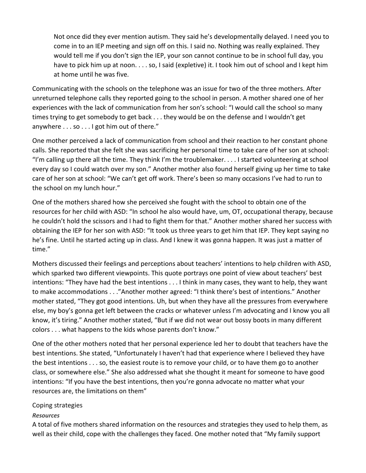Not once did they ever mention autism. They said he's developmentally delayed. I need you to come in to an IEP meeting and sign off on this. I said no. Nothing was really explained. They would tell me if you don't sign the IEP, your son cannot continue to be in school full day, you have to pick him up at noon. . . . so, I said (expletive) it. I took him out of school and I kept him at home until he was five.

Communicating with the schools on the telephone was an issue for two of the three mothers. After unreturned telephone calls they reported going to the school in person. A mother shared one of her experiences with the lack of communication from her son's school: "I would call the school so many times trying to get somebody to get back . . . they would be on the defense and I wouldn't get anywhere . . . so . . . I got him out of there."

One mother perceived a lack of communication from school and their reaction to her constant phone calls. She reported that she felt she was sacrificing her personal time to take care of her son at school: "I'm calling up there all the time. They think I'm the troublemaker. . . . I started volunteering at school every day so I could watch over my son." Another mother also found herself giving up her time to take care of her son at school: "We can't get off work. There's been so many occasions I've had to run to the school on my lunch hour."

One of the mothers shared how she perceived she fought with the school to obtain one of the resources for her child with ASD: "In school he also would have, um, OT, occupational therapy, because he couldn't hold the scissors and I had to fight them for that." Another mother shared her success with obtaining the IEP for her son with ASD: "It took us three years to get him that IEP. They kept saying no he's fine. Until he started acting up in class. And I knew it was gonna happen. It was just a matter of time."

Mothers discussed their feelings and perceptions about teachers' intentions to help children with ASD, which sparked two different viewpoints. This quote portrays one point of view about teachers' best intentions: "They have had the best intentions . . . I think in many cases, they want to help, they want to make accommodations . . ."Another mother agreed: "I think there's best of intentions." Another mother stated, "They got good intentions. Uh, but when they have all the pressures from everywhere else, my boy's gonna get left between the cracks or whatever unless I'm advocating and I know you all know, it's tiring." Another mother stated, "But if we did not wear out bossy boots in many different colors . . . what happens to the kids whose parents don't know."

One of the other mothers noted that her personal experience led her to doubt that teachers have the best intentions. She stated, "Unfortunately I haven't had that experience where I believed they have the best intentions . . . so, the easiest route is to remove your child, or to have them go to another class, or somewhere else." She also addressed what she thought it meant for someone to have good intentions: "If you have the best intentions, then you're gonna advocate no matter what your resources are, the limitations on them"

#### Coping strategies

#### *Resources*

A total of five mothers shared information on the resources and strategies they used to help them, as well as their child, cope with the challenges they faced. One mother noted that "My family support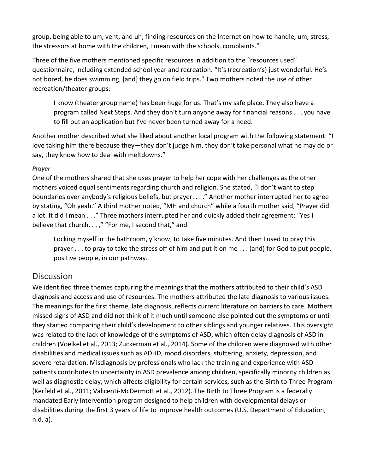group, being able to um, vent, and uh, finding resources on the Internet on how to handle, um, stress, the stressors at home with the children, I mean with the schools, complaints."

Three of the five mothers mentioned specific resources in addition to the "resources used" questionnaire, including extended school year and recreation. "It's (recreation's) just wonderful. He's not bored, he does swimming, [and] they go on field trips." Two mothers noted the use of other recreation/theater groups:

I know (theater group name) has been huge for us. That's my safe place. They also have a program called Next Steps. And they don't turn anyone away for financial reasons . . . you have to fill out an application but I've never been turned away for a need.

Another mother described what she liked about another local program with the following statement: "I love taking him there because they—they don't judge him, they don't take personal what he may do or say, they know how to deal with meltdowns."

#### *Prayer*

One of the mothers shared that she uses prayer to help her cope with her challenges as the other mothers voiced equal sentiments regarding church and religion. She stated, "I don't want to step boundaries over anybody's religious beliefs, but prayer. . . ." Another mother interrupted her to agree by stating, "Oh yeah." A third mother noted, "MH and church" while a fourth mother said, "Prayer did a lot. It did I mean . . ." Three mothers interrupted her and quickly added their agreement: "Yes I believe that church. . . ," "For me, I second that," and

Locking myself in the bathroom, y'know, to take five minutes. And then I used to pray this prayer . . . to pray to take the stress off of him and put it on me . . . (and) for God to put people, positive people, in our pathway.

# **Discussion**

We identified three themes capturing the meanings that the mothers attributed to their child's ASD diagnosis and access and use of resources. The mothers attributed the late diagnosis to various issues. The meanings for the first theme, late diagnosis, reflects current literature on barriers to care. Mothers missed signs of ASD and did not think of it much until someone else pointed out the symptoms or until they started comparing their child's development to other siblings and younger relatives. This oversight was related to the lack of knowledge of the symptoms of ASD, which often delay diagnosis of ASD in children (Voelkel et al., 2013; Zuckerman et al., 2014). Some of the children were diagnosed with other disabilities and medical issues such as ADHD, mood disorders, stuttering, anxiety, depression, and severe retardation. Misdiagnosis by professionals who lack the training and experience with ASD patients contributes to uncertainty in ASD prevalence among children, specifically minority children as well as diagnostic delay, which affects eligibility for certain services, such as the Birth to Three Program (Kerfeld et al., 2011; Valicenti-McDermott et al., 2012). The Birth to Three Program is a federally mandated Early Intervention program designed to help children with developmental delays or disabilities during the first 3 years of life to improve health outcomes (U.S. Department of Education, n.d. a).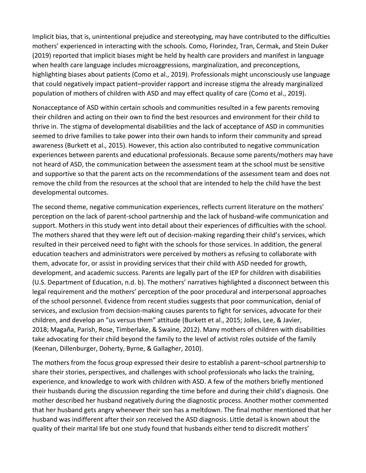Implicit bias, that is, unintentional prejudice and stereotyping, may have contributed to the difficulties mothers' experienced in interacting with the schools. Como, Florindez, Tran, Cermak, and Stein Duker (2019) reported that implicit biases might be held by health care providers and manifest in language when health care language includes microaggressions, marginalization, and preconceptions, highlighting biases about patients (Como et al., 2019). Professionals might unconsciously use language that could negatively impact patient–provider rapport and increase stigma the already marginalized population of mothers of children with ASD and may effect quality of care (Como et al., 2019).

Nonacceptance of ASD within certain schools and communities resulted in a few parents removing their children and acting on their own to find the best resources and environment for their child to thrive in. The stigma of developmental disabilities and the lack of acceptance of ASD in communities seemed to drive families to take power into their own hands to inform their community and spread awareness (Burkett et al., 2015). However, this action also contributed to negative communication experiences between parents and educational professionals. Because some parents/mothers may have not heard of ASD, the communication between the assessment team at the school must be sensitive and supportive so that the parent acts on the recommendations of the assessment team and does not remove the child from the resources at the school that are intended to help the child have the best developmental outcomes.

The second theme, negative communication experiences, reflects current literature on the mothers' perception on the lack of parent-school partnership and the lack of husband-wife communication and support. Mothers in this study went into detail about their experiences of difficulties with the school. The mothers shared that they were left out of decision-making regarding their child's services, which resulted in their perceived need to fight with the schools for those services. In addition, the general education teachers and administrators were perceived by mothers as refusing to collaborate with them, advocate for, or assist in providing services that their child with ASD needed for growth, development, and academic success. Parents are legally part of the IEP for children with disabilities (U.S. Department of Education, n.d. b). The mothers' narratives highlighted a disconnect between this legal requirement and the mothers' perception of the poor procedural and interpersonal approaches of the school personnel. Evidence from recent studies suggests that poor communication, denial of services, and exclusion from decision-making causes parents to fight for services, advocate for their children, and develop an "us versus them" attitude (Burkett et al., 2015; Jolles, Lee, & Javier, 2018; Magaña, Parish, Rose, Timberlake, & Swaine, 2012). Many mothers of children with disabilities take advocating for their child beyond the family to the level of activist roles outside of the family (Keenan, Dillenburger, Doherty, Byrne, & Gallagher, 2010).

The mothers from the focus group expressed their desire to establish a parent–school partnership to share their stories, perspectives, and challenges with school professionals who lacks the training, experience, and knowledge to work with children with ASD. A few of the mothers briefly mentioned their husbands during the discussion regarding the time before and during their child's diagnosis. One mother described her husband negatively during the diagnostic process. Another mother commented that her husband gets angry whenever their son has a meltdown. The final mother mentioned that her husband was indifferent after their son received the ASD diagnosis. Little detail is known about the quality of their marital life but one study found that husbands either tend to discredit mothers'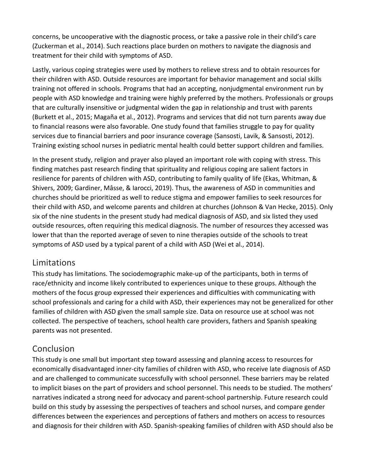concerns, be uncooperative with the diagnostic process, or take a passive role in their child's care (Zuckerman et al., 2014). Such reactions place burden on mothers to navigate the diagnosis and treatment for their child with symptoms of ASD.

Lastly, various coping strategies were used by mothers to relieve stress and to obtain resources for their children with ASD. Outside resources are important for behavior management and social skills training not offered in schools. Programs that had an accepting, nonjudgmental environment run by people with ASD knowledge and training were highly preferred by the mothers. Professionals or groups that are culturally insensitive or judgmental widen the gap in relationship and trust with parents (Burkett et al., 2015; Magaña et al., 2012). Programs and services that did not turn parents away due to financial reasons were also favorable. One study found that families struggle to pay for quality services due to financial barriers and poor insurance coverage (Sansosti, Lavik, & Sansosti, 2012). Training existing school nurses in pediatric mental health could better support children and families.

In the present study, religion and prayer also played an important role with coping with stress. This finding matches past research finding that spirituality and religious coping are salient factors in resilience for parents of children with ASD, contributing to family quality of life (Ekas, Whitman, & Shivers, 2009; Gardiner, Mâsse, & Iarocci, 2019). Thus, the awareness of ASD in communities and churches should be prioritized as well to reduce stigma and empower families to seek resources for their child with ASD, and welcome parents and children at churches (Johnson & Van Hecke, 2015). Only six of the nine students in the present study had medical diagnosis of ASD, and six listed they used outside resources, often requiring this medical diagnosis. The number of resources they accessed was lower that than the reported average of seven to nine therapies outside of the schools to treat symptoms of ASD used by a typical parent of a child with ASD (Wei et al., 2014).

# Limitations

This study has limitations. The sociodemographic make-up of the participants, both in terms of race/ethnicity and income likely contributed to experiences unique to these groups. Although the mothers of the focus group expressed their experiences and difficulties with communicating with school professionals and caring for a child with ASD, their experiences may not be generalized for other families of children with ASD given the small sample size. Data on resource use at school was not collected. The perspective of teachers, school health care providers, fathers and Spanish speaking parents was not presented.

# Conclusion

This study is one small but important step toward assessing and planning access to resources for economically disadvantaged inner-city families of children with ASD, who receive late diagnosis of ASD and are challenged to communicate successfully with school personnel. These barriers may be related to implicit biases on the part of providers and school personnel. This needs to be studied. The mothers' narratives indicated a strong need for advocacy and parent-school partnership. Future research could build on this study by assessing the perspectives of teachers and school nurses, and compare gender differences between the experiences and perceptions of fathers and mothers on access to resources and diagnosis for their children with ASD. Spanish-speaking families of children with ASD should also be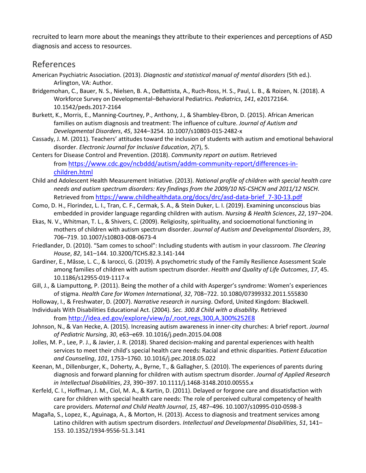recruited to learn more about the meanings they attribute to their experiences and perceptions of ASD diagnosis and access to resources.

# [References](https://0-web-a-ebscohost-com.libus.csd.mu.edu/ehost/detail/detail?vid=2&sid=6fb216ed-9277-48eb-8d2f-b39f882ccb07%40sessionmgr4006&bdata=JnNpdGU9ZWhvc3QtbGl2ZSZzY29wZT1zaXRl#toc)

- American Psychiatric Association. (2013). *Diagnostic and statistical manual of mental disorders* (5th ed.). Arlington, VA: Author.
- Bridgemohan, C., Bauer, N. S., Nielsen, B. A., DeBattista, A., Ruch-Ross, H. S., Paul, L. B., & Roizen, N. (2018). A Workforce Survey on Developmental–Behavioral Pediatrics. *Pediatrics*, *141*, e20172164. 10.1542/peds.2017-2164
- Burkett, K., Morris, E., Manning-Courtney, P., Anthony, J., & Shambley-Ebron, D. (2015). African American families on autism diagnosis and treatment: The influence of culture. *Journal of Autism and Developmental Disorders*, *45*, 3244–3254. 10.1007/s10803-015-2482-x
- Cassady, J. M. (2011). Teachers' attitudes toward the inclusion of students with autism and emotional behavioral disorder. *Electronic Journal for Inclusive Education*, *2*(7), 5.
- Centers for Disease Control and Prevention. (2018). *Community report on autism*. Retrieved from [https://www.cdc.gov/ncbddd/autism/addm-community-report/differences-in](https://www.cdc.gov/ncbddd/autism/addm-community-report/differences-in-children.html)[children.html](https://www.cdc.gov/ncbddd/autism/addm-community-report/differences-in-children.html)
- Child and Adolescent Health Measurement Initiative. (2013). *National profile of children with special health care needs and autism spectrum disorders: Key findings from the 2009/10 NS-CSHCN and 2011/12 NSCH*. Retrieved from [https://www.childhealthdata.org/docs/drc/asd-data-brief\\_7-30-13.pdf](https://www.childhealthdata.org/docs/drc/asd-data-brief_7-30-13.pdf)
- Como, D. H., Florindez, L. I., Tran, C. F., Cermak, S. A., & Stein Duker, L. I. (2019). Examining unconscious bias embedded in provider language regarding children with autism. *Nursing & Health Sciences*, *22*, 197–204.
- Ekas, N. V., Whitman, T. L., & Shivers, C. (2009). Religiosity, spirituality, and socioemotional functioning in mothers of children with autism spectrum disorder. *Journal of Autism and Developmental Disorders*, *39*, 706–719. 10.1007/s10803-008-0673-4
- Friedlander, D. (2010). "Sam comes to school": Including students with autism in your classroom. *The Clearing House*, *82*, 141–144. 10.3200/TCHS.82.3.141-144
- Gardiner, E., Mâsse, L. C., & Iarocci, G. (2019). A psychometric study of the Family Resilience Assessment Scale among families of children with autism spectrum disorder. *Health and Quality of Life Outcomes*, *17*, 45. 10.1186/s12955-019-1117-x
- Gill, J., & Liamputtong, P. (2011). Being the mother of a child with Asperger's syndrome: Women's experiences of stigma. *Health Care for Women International*, *32*, 708–722. 10.1080/07399332.2011.555830
- Holloway, I., & Freshwater, D. (2007). *Narrative research in nursing*. Oxford, United Kingdom: Blackwell.
- Individuals With Disabilities Educational Act. (2004). *Sec. 300.8 Child with a disability*. Retrieved from <http://idea.ed.gov/explore/view/p/,root,regs,300,A,300%252E8>
- Johnson, N., & Van Hecke, A. (2015). Increasing autism awareness in inner-city churches: A brief report. *Journal of Pediatric Nursing*, *30*, e63–e69. 10.1016/j.pedn.2015.04.008
- Jolles, M. P., Lee, P. J., & Javier, J. R. (2018). Shared decision-making and parental experiences with health services to meet their child's special health care needs: Racial and ethnic disparities. *Patient Education and Counseling*, *101*, 1753–1760. 10.1016/j.pec.2018.05.022
- Keenan, M., Dillenburger, K., Doherty, A., Byrne, T., & Gallagher, S. (2010). The experiences of parents during diagnosis and forward planning for children with autism spectrum disorder. *Journal of Applied Research in Intellectual Disabilities*, *23*, 390–397. 10.1111/j.1468-3148.2010.00555.x
- Kerfeld, C. I., Hoffman, J. M., Ciol, M. A., & Kartin, D. (2011). Delayed or forgone care and dissatisfaction with care for children with special health care needs: The role of perceived cultural competency of health care providers. *Maternal and Child Health Journal*, *15*, 487–496. 10.1007/s10995-010-0598-3
- Magaña, S., Lopez, K., Aguinaga, A., & Morton, H. (2013). Access to diagnosis and treatment services among Latino children with autism spectrum disorders. *Intellectual and Developmental Disabilities*, *51*, 141– 153. 10.1352/1934-9556-51.3.141